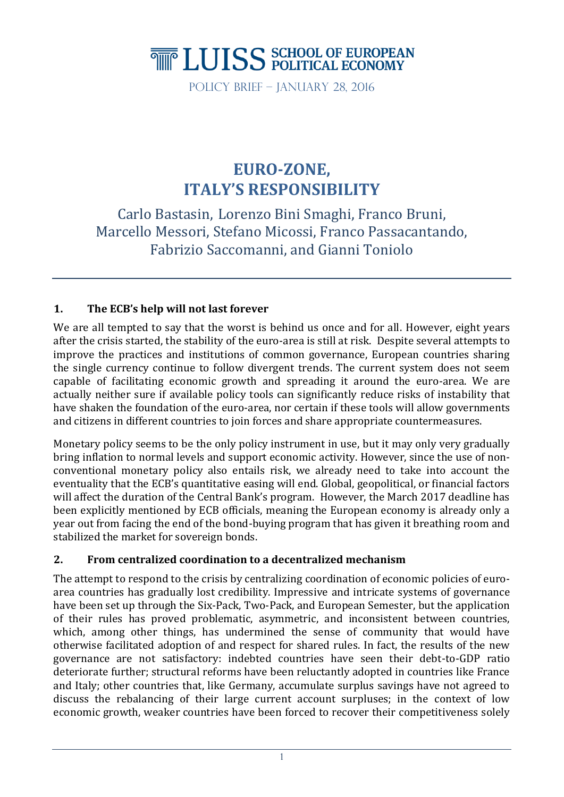# **THE LUISS SCHOOL OF EUROPEAN**

Policy Brief – January 28, 2016

# **EURO-ZONE, ITALY'S RESPONSIBILITY**

Carlo Bastasin, Lorenzo Bini Smaghi, Franco Bruni, Marcello Messori, Stefano Micossi, Franco Passacantando, Fabrizio Saccomanni, and Gianni Toniolo

# **1. The ECB's help will not last forever**

We are all tempted to say that the worst is behind us once and for all. However, eight years after the crisis started, the stability of the euro-area is still at risk. Despite several attempts to improve the practices and institutions of common governance, European countries sharing the single currency continue to follow divergent trends. The current system does not seem capable of facilitating economic growth and spreading it around the euro-area. We are actually neither sure if available policy tools can significantly reduce risks of instability that have shaken the foundation of the euro-area, nor certain if these tools will allow governments and citizens in different countries to join forces and share appropriate countermeasures.

Monetary policy seems to be the only policy instrument in use, but it may only very gradually bring inflation to normal levels and support economic activity. However, since the use of nonconventional monetary policy also entails risk, we already need to take into account the eventuality that the ECB's quantitative easing will end. Global, geopolitical, or financial factors will affect the duration of the Central Bank's program. However, the March 2017 deadline has been explicitly mentioned by ECB officials, meaning the European economy is already only a year out from facing the end of the bond-buying program that has given it breathing room and stabilized the market for sovereign bonds.

## **2. From centralized coordination to a decentralized mechanism**

The attempt to respond to the crisis by centralizing coordination of economic policies of euroarea countries has gradually lost credibility. Impressive and intricate systems of governance have been set up through the Six-Pack, Two-Pack, and European Semester, but the application of their rules has proved problematic, asymmetric, and inconsistent between countries, which, among other things, has undermined the sense of community that would have otherwise facilitated adoption of and respect for shared rules. In fact, the results of the new governance are not satisfactory: indebted countries have seen their debt-to-GDP ratio deteriorate further; structural reforms have been reluctantly adopted in countries like France and Italy; other countries that, like Germany, accumulate surplus savings have not agreed to discuss the rebalancing of their large current account surpluses; in the context of low economic growth, weaker countries have been forced to recover their competitiveness solely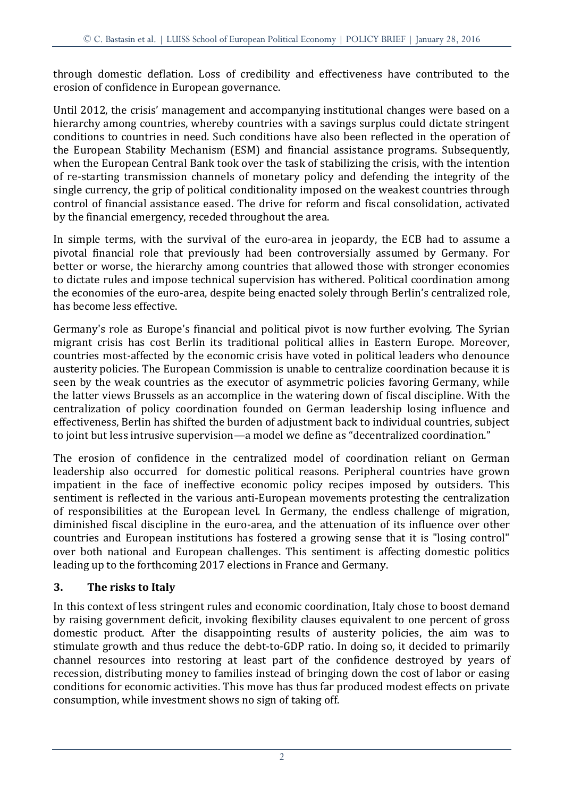through domestic deflation. Loss of credibility and effectiveness have contributed to the erosion of confidence in European governance.

Until 2012, the crisis' management and accompanying institutional changes were based on a hierarchy among countries, whereby countries with a savings surplus could dictate stringent conditions to countries in need. Such conditions have also been reflected in the operation of the European Stability Mechanism (ESM) and financial assistance programs. Subsequently, when the European Central Bank took over the task of stabilizing the crisis, with the intention of re-starting transmission channels of monetary policy and defending the integrity of the single currency, the grip of political conditionality imposed on the weakest countries through control of financial assistance eased. The drive for reform and fiscal consolidation, activated by the financial emergency, receded throughout the area.

In simple terms, with the survival of the euro-area in jeopardy, the ECB had to assume a pivotal financial role that previously had been controversially assumed by Germany. For better or worse, the hierarchy among countries that allowed those with stronger economies to dictate rules and impose technical supervision has withered. Political coordination among the economies of the euro-area, despite being enacted solely through Berlin's centralized role, has become less effective.

Germany's role as Europe's financial and political pivot is now further evolving. The Syrian migrant crisis has cost Berlin its traditional political allies in Eastern Europe. Moreover, countries most-affected by the economic crisis have voted in political leaders who denounce austerity policies. The European Commission is unable to centralize coordination because it is seen by the weak countries as the executor of asymmetric policies favoring Germany, while the latter views Brussels as an accomplice in the watering down of fiscal discipline. With the centralization of policy coordination founded on German leadership losing influence and effectiveness, Berlin has shifted the burden of adjustment back to individual countries, subject to joint but less intrusive supervision—a model we define as "decentralized coordination."

The erosion of confidence in the centralized model of coordination reliant on German leadership also occurred for domestic political reasons. Peripheral countries have grown impatient in the face of ineffective economic policy recipes imposed by outsiders. This sentiment is reflected in the various anti-European movements protesting the centralization of responsibilities at the European level. In Germany, the endless challenge of migration, diminished fiscal discipline in the euro-area, and the attenuation of its influence over other countries and European institutions has fostered a growing sense that it is "losing control" over both national and European challenges. This sentiment is affecting domestic politics leading up to the forthcoming 2017 elections in France and Germany.

#### **3. The risks to Italy**

In this context of less stringent rules and economic coordination, Italy chose to boost demand by raising government deficit, invoking flexibility clauses equivalent to one percent of gross domestic product. After the disappointing results of austerity policies, the aim was to stimulate growth and thus reduce the debt-to-GDP ratio. In doing so, it decided to primarily channel resources into restoring at least part of the confidence destroyed by years of recession, distributing money to families instead of bringing down the cost of labor or easing conditions for economic activities. This move has thus far produced modest effects on private consumption, while investment shows no sign of taking off.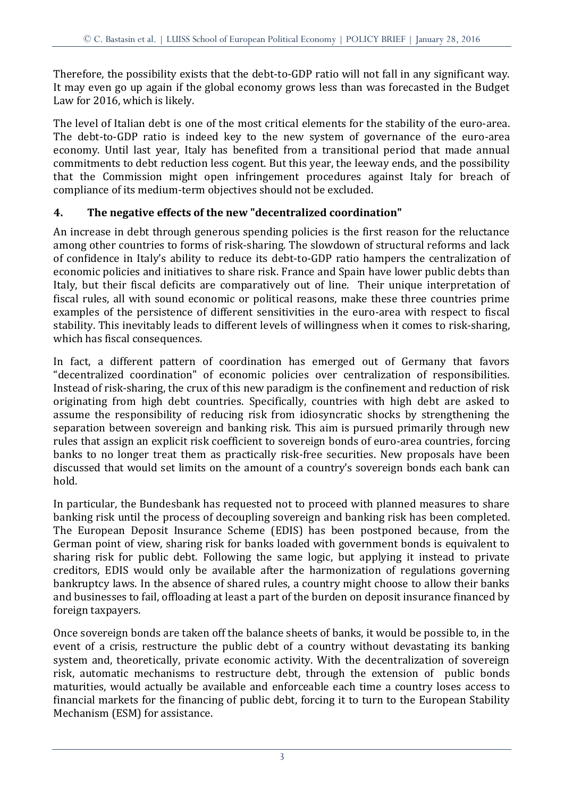Therefore, the possibility exists that the debt-to-GDP ratio will not fall in any significant way. It may even go up again if the global economy grows less than was forecasted in the Budget Law for 2016, which is likely.

The level of Italian debt is one of the most critical elements for the stability of the euro-area. The debt-to-GDP ratio is indeed key to the new system of governance of the euro-area economy. Until last year, Italy has benefited from a transitional period that made annual commitments to debt reduction less cogent. But this year, the leeway ends, and the possibility that the Commission might open infringement procedures against Italy for breach of compliance of its medium-term objectives should not be excluded.

#### **4. The negative effects of the new "decentralized coordination"**

An increase in debt through generous spending policies is the first reason for the reluctance among other countries to forms of risk-sharing. The slowdown of structural reforms and lack of confidence in Italy's ability to reduce its debt-to-GDP ratio hampers the centralization of economic policies and initiatives to share risk. France and Spain have lower public debts than Italy, but their fiscal deficits are comparatively out of line. Their unique interpretation of fiscal rules, all with sound economic or political reasons, make these three countries prime examples of the persistence of different sensitivities in the euro-area with respect to fiscal stability. This inevitably leads to different levels of willingness when it comes to risk-sharing, which has fiscal consequences.

In fact, a different pattern of coordination has emerged out of Germany that favors "decentralized coordination" of economic policies over centralization of responsibilities. Instead of risk-sharing, the crux of this new paradigm is the confinement and reduction of risk originating from high debt countries. Specifically, countries with high debt are asked to assume the responsibility of reducing risk from idiosyncratic shocks by strengthening the separation between sovereign and banking risk. This aim is pursued primarily through new rules that assign an explicit risk coefficient to sovereign bonds of euro-area countries, forcing banks to no longer treat them as practically risk-free securities. New proposals have been discussed that would set limits on the amount of a country's sovereign bonds each bank can hold.

In particular, the Bundesbank has requested not to proceed with planned measures to share banking risk until the process of decoupling sovereign and banking risk has been completed. The European Deposit Insurance Scheme (EDIS) has been postponed because, from the German point of view, sharing risk for banks loaded with government bonds is equivalent to sharing risk for public debt. Following the same logic, but applying it instead to private creditors, EDIS would only be available after the harmonization of regulations governing bankruptcy laws. In the absence of shared rules, a country might choose to allow their banks and businesses to fail, offloading at least a part of the burden on deposit insurance financed by foreign taxpayers.

Once sovereign bonds are taken off the balance sheets of banks, it would be possible to, in the event of a crisis, restructure the public debt of a country without devastating its banking system and, theoretically, private economic activity. With the decentralization of sovereign risk, automatic mechanisms to restructure debt, through the extension of public bonds maturities, would actually be available and enforceable each time a country loses access to financial markets for the financing of public debt, forcing it to turn to the European Stability Mechanism (ESM) for assistance.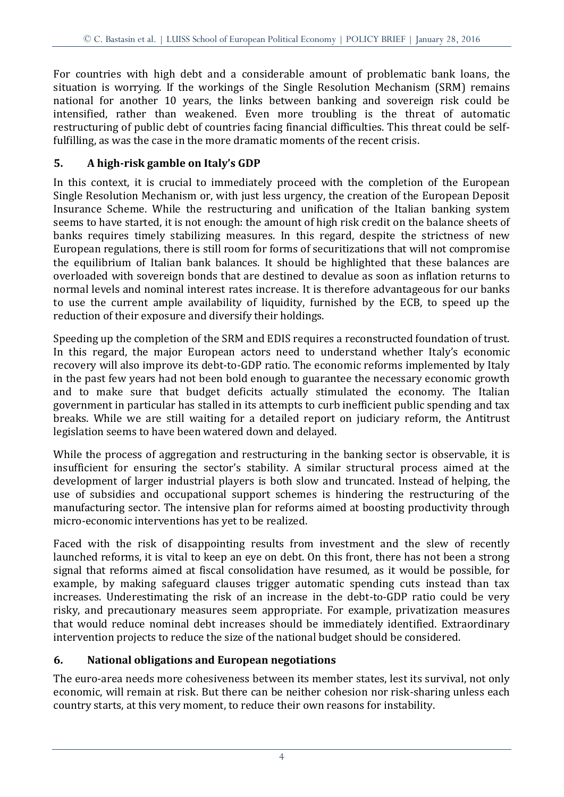For countries with high debt and a considerable amount of problematic bank loans, the situation is worrying. If the workings of the Single Resolution Mechanism (SRM) remains national for another 10 years, the links between banking and sovereign risk could be intensified, rather than weakened. Even more troubling is the threat of automatic restructuring of public debt of countries facing financial difficulties. This threat could be selffulfilling, as was the case in the more dramatic moments of the recent crisis.

# **5. A high-risk gamble on Italy's GDP**

In this context, it is crucial to immediately proceed with the completion of the European Single Resolution Mechanism or, with just less urgency, the creation of the European Deposit Insurance Scheme. While the restructuring and unification of the Italian banking system seems to have started, it is not enough: the amount of high risk credit on the balance sheets of banks requires timely stabilizing measures. In this regard, despite the strictness of new European regulations, there is still room for forms of securitizations that will not compromise the equilibrium of Italian bank balances. It should be highlighted that these balances are overloaded with sovereign bonds that are destined to devalue as soon as inflation returns to normal levels and nominal interest rates increase. It is therefore advantageous for our banks to use the current ample availability of liquidity, furnished by the ECB, to speed up the reduction of their exposure and diversify their holdings.

Speeding up the completion of the SRM and EDIS requires a reconstructed foundation of trust. In this regard, the major European actors need to understand whether Italy's economic recovery will also improve its debt-to-GDP ratio. The economic reforms implemented by Italy in the past few years had not been bold enough to guarantee the necessary economic growth and to make sure that budget deficits actually stimulated the economy. The Italian government in particular has stalled in its attempts to curb inefficient public spending and tax breaks. While we are still waiting for a detailed report on judiciary reform, the Antitrust legislation seems to have been watered down and delayed.

While the process of aggregation and restructuring in the banking sector is observable, it is insufficient for ensuring the sector's stability. A similar structural process aimed at the development of larger industrial players is both slow and truncated. Instead of helping, the use of subsidies and occupational support schemes is hindering the restructuring of the manufacturing sector. The intensive plan for reforms aimed at boosting productivity through micro-economic interventions has yet to be realized.

Faced with the risk of disappointing results from investment and the slew of recently launched reforms, it is vital to keep an eye on debt. On this front, there has not been a strong signal that reforms aimed at fiscal consolidation have resumed, as it would be possible, for example, by making safeguard clauses trigger automatic spending cuts instead than tax increases. Underestimating the risk of an increase in the debt-to-GDP ratio could be very risky, and precautionary measures seem appropriate. For example, privatization measures that would reduce nominal debt increases should be immediately identified. Extraordinary intervention projects to reduce the size of the national budget should be considered.

## **6. National obligations and European negotiations**

The euro-area needs more cohesiveness between its member states, lest its survival, not only economic, will remain at risk. But there can be neither cohesion nor risk-sharing unless each country starts, at this very moment, to reduce their own reasons for instability.